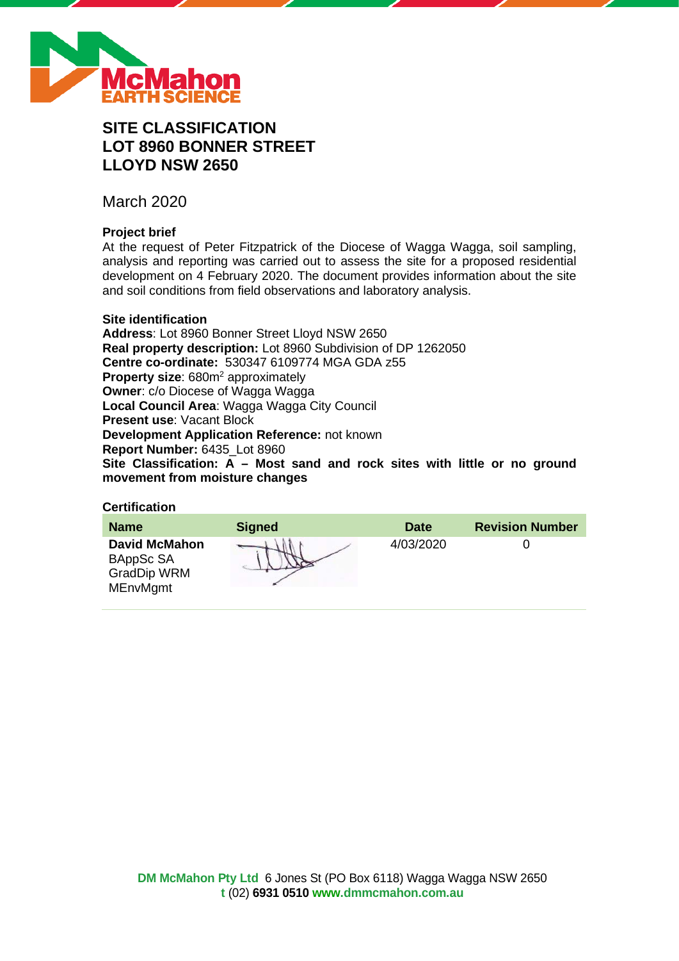

# **SITE CLASSIFICATION LOT 8960 BONNER STREET LLOYD NSW 2650**

March 2020

## **Project brief**

At the request of Peter Fitzpatrick of the Diocese of Wagga Wagga, soil sampling, analysis and reporting was carried out to assess the site for a proposed residential development on 4 February 2020. The document provides information about the site and soil conditions from field observations and laboratory analysis.

#### **Site identification**

**Address**: Lot 8960 Bonner Street Lloyd NSW 2650 **Real property description:** Lot 8960 Subdivision of DP 1262050 **Centre co-ordinate:** 530347 6109774 MGA GDA z55 **Property size:** 680m<sup>2</sup> approximately **Owner**: c/o Diocese of Wagga Wagga **Local Council Area**: Wagga Wagga City Council **Present use**: Vacant Block **Development Application Reference:** not known **Report Number:** 6435\_Lot 8960 **Site Classification: A – Most sand and rock sites with little or no ground movement from moisture changes**

## **Certification**

| <b>Name</b>                                                                | <b>Signed</b> | <b>Date</b> | <b>Revision Number</b> |
|----------------------------------------------------------------------------|---------------|-------------|------------------------|
| <b>David McMahon</b><br>BAppSc SA<br><b>GradDip WRM</b><br><b>MEnvMgmt</b> |               | 4/03/2020   |                        |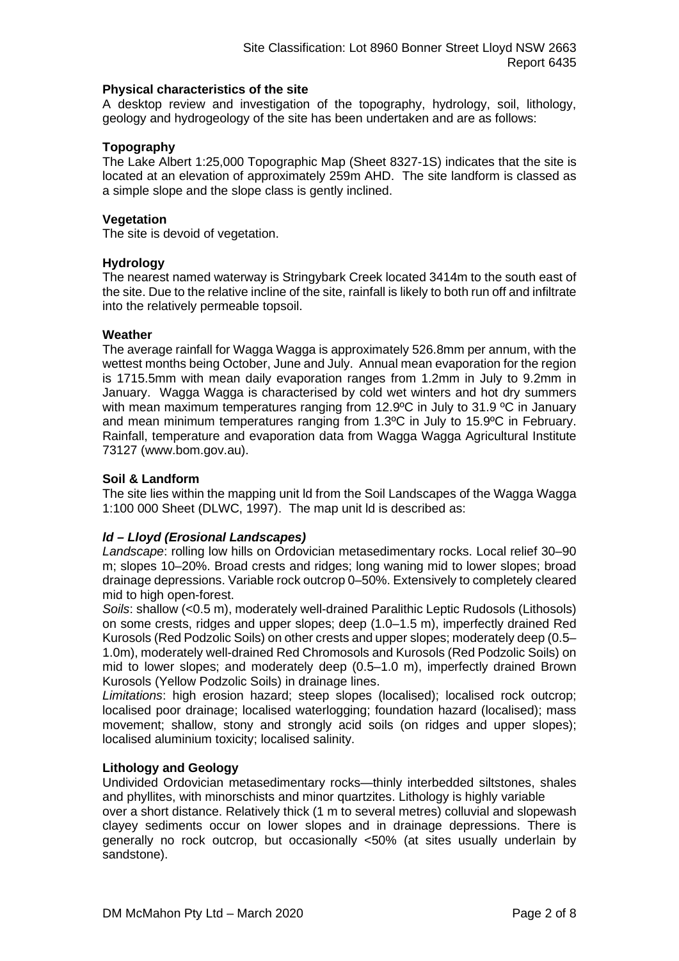#### **Physical characteristics of the site**

A desktop review and investigation of the topography, hydrology, soil, lithology, geology and hydrogeology of the site has been undertaken and are as follows:

#### **Topography**

The Lake Albert 1:25,000 Topographic Map (Sheet 8327-1S) indicates that the site is located at an elevation of approximately 259m AHD. The site landform is classed as a simple slope and the slope class is gently inclined.

#### **Vegetation**

The site is devoid of vegetation.

#### **Hydrology**

The nearest named waterway is Stringybark Creek located 3414m to the south east of the site. Due to the relative incline of the site, rainfall is likely to both run off and infiltrate into the relatively permeable topsoil.

#### **Weather**

The average rainfall for Wagga Wagga is approximately 526.8mm per annum, with the wettest months being October, June and July. Annual mean evaporation for the region is 1715.5mm with mean daily evaporation ranges from 1.2mm in July to 9.2mm in January. Wagga Wagga is characterised by cold wet winters and hot dry summers with mean maximum temperatures ranging from 12.9°C in July to 31.9 °C in January and mean minimum temperatures ranging from 1.3ºC in July to 15.9ºC in February. Rainfall, temperature and evaporation data from Wagga Wagga Agricultural Institute 73127 (www.bom.gov.au).

#### **Soil & Landform**

The site lies within the mapping unit ld from the Soil Landscapes of the Wagga Wagga 1:100 000 Sheet (DLWC, 1997). The map unit ld is described as:

## *ld – Lloyd (Erosional Landscapes)*

*Landscape*: rolling low hills on Ordovician metasedimentary rocks. Local relief 30–90 m; slopes 10–20%. Broad crests and ridges; long waning mid to lower slopes; broad drainage depressions. Variable rock outcrop 0–50%. Extensively to completely cleared mid to high open-forest.

*Soils*: shallow (<0.5 m), moderately well-drained Paralithic Leptic Rudosols (Lithosols) on some crests, ridges and upper slopes; deep (1.0–1.5 m), imperfectly drained Red Kurosols (Red Podzolic Soils) on other crests and upper slopes; moderately deep (0.5– 1.0m), moderately well-drained Red Chromosols and Kurosols (Red Podzolic Soils) on mid to lower slopes; and moderately deep (0.5–1.0 m), imperfectly drained Brown Kurosols (Yellow Podzolic Soils) in drainage lines.

*Limitations*: high erosion hazard; steep slopes (localised); localised rock outcrop; localised poor drainage; localised waterlogging; foundation hazard (localised); mass movement; shallow, stony and strongly acid soils (on ridges and upper slopes); localised aluminium toxicity; localised salinity.

#### **Lithology and Geology**

Undivided Ordovician metasedimentary rocks—thinly interbedded siltstones, shales and phyllites, with minorschists and minor quartzites. Lithology is highly variable

over a short distance. Relatively thick (1 m to several metres) colluvial and slopewash clayey sediments occur on lower slopes and in drainage depressions. There is generally no rock outcrop, but occasionally <50% (at sites usually underlain by sandstone).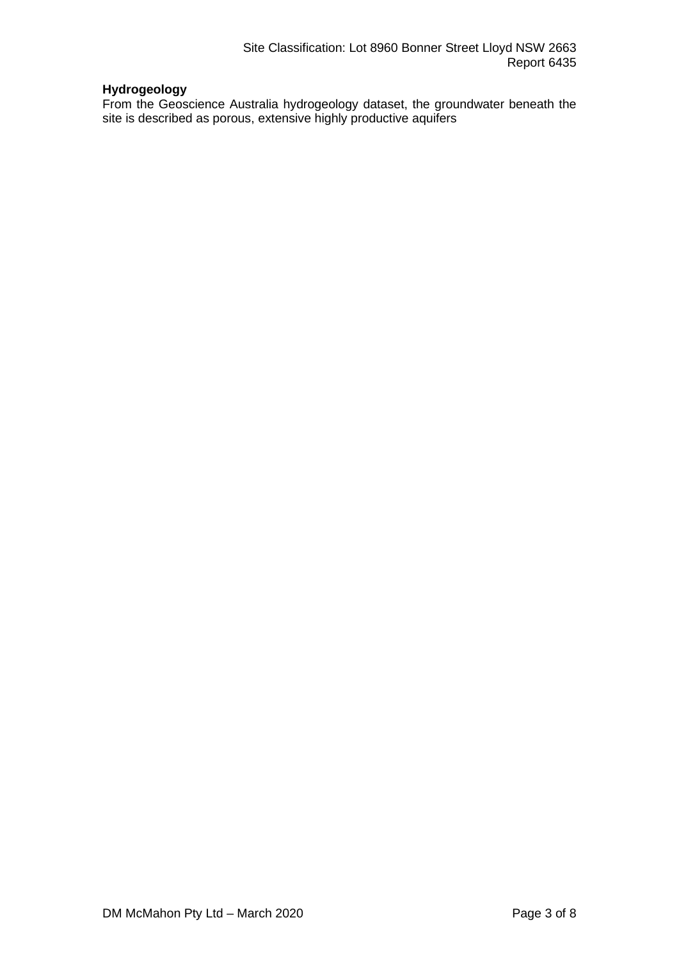## **Hydrogeology**

From the Geoscience Australia hydrogeology dataset, the groundwater beneath the site is described as porous, extensive highly productive aquifers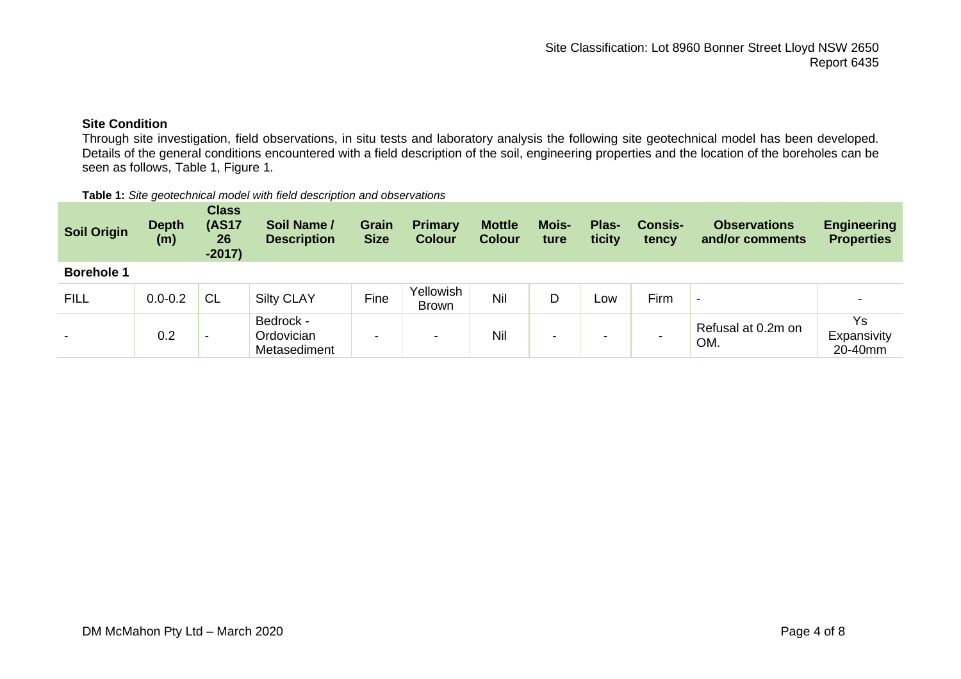## **Site Condition**

Through site investigation, field observations, in situ tests and laboratory analysis the following site geotechnical model has been developed. Details of the general conditions encountered with a field description of the soil, engineering properties and the location of the boreholes can be seen as follows, Table 1, Figure 1.

| Table 1: Site geotechnical model with field description and observations |  |
|--------------------------------------------------------------------------|--|
|--------------------------------------------------------------------------|--|

| <b>Soil Origin</b>       | <b>Depth</b><br>(m) | <b>Class</b><br><b>(AS17</b><br>26<br>$-2017)$ | Soil Name /<br><b>Description</b>       | Grain<br><b>Size</b> | <b>Primary</b><br><b>Colour</b> | <b>Mottle</b><br><b>Colour</b> | <b>Mois-</b><br>ture | Plas-<br>ticity | <b>Consis-</b><br>tency | <b>Observations</b><br>and/or comments | <b>Engineering</b><br><b>Properties</b> |
|--------------------------|---------------------|------------------------------------------------|-----------------------------------------|----------------------|---------------------------------|--------------------------------|----------------------|-----------------|-------------------------|----------------------------------------|-----------------------------------------|
| <b>Borehole 1</b>        |                     |                                                |                                         |                      |                                 |                                |                      |                 |                         |                                        |                                         |
| <b>FILL</b>              | $0.0 - 0.2$         | <b>CL</b>                                      | <b>Silty CLAY</b>                       | Fine                 | Yellowish<br>Brown              | Nil                            | D                    | LOW             | Firm                    | $\overline{\phantom{a}}$               |                                         |
| $\overline{\phantom{0}}$ | 0.2                 | $\overline{\phantom{0}}$                       | Bedrock -<br>Ordovician<br>Metasediment | -                    | -                               | Nil                            | -                    | -               |                         | Refusal at 0.2m on<br>OM.              | Ys<br>Expansivity<br>20-40mm            |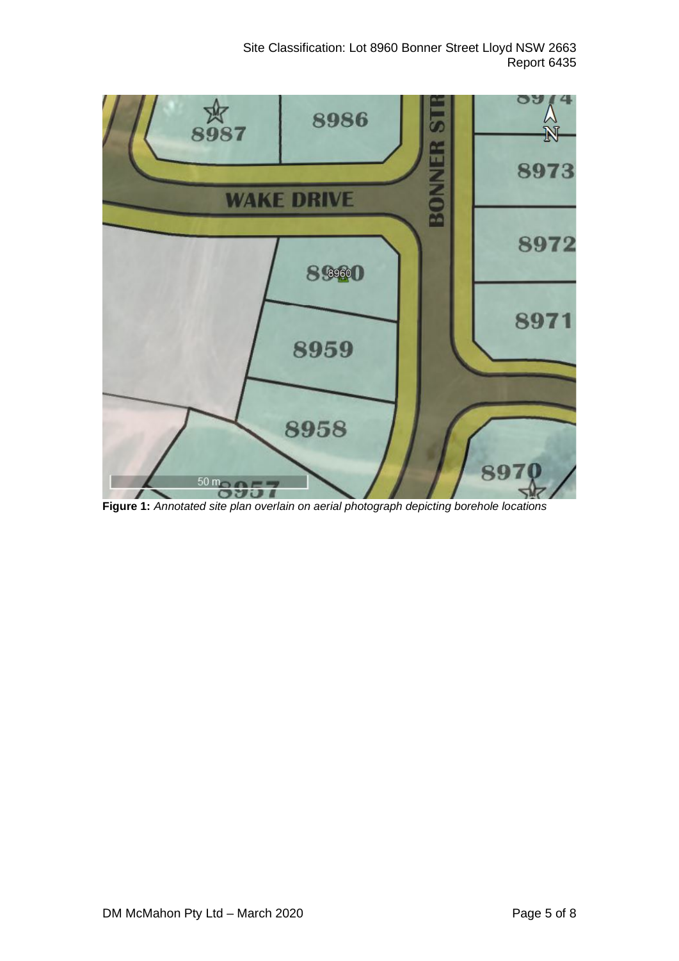

**Figure 1:** *Annotated site plan overlain on aerial photograph depicting borehole locations*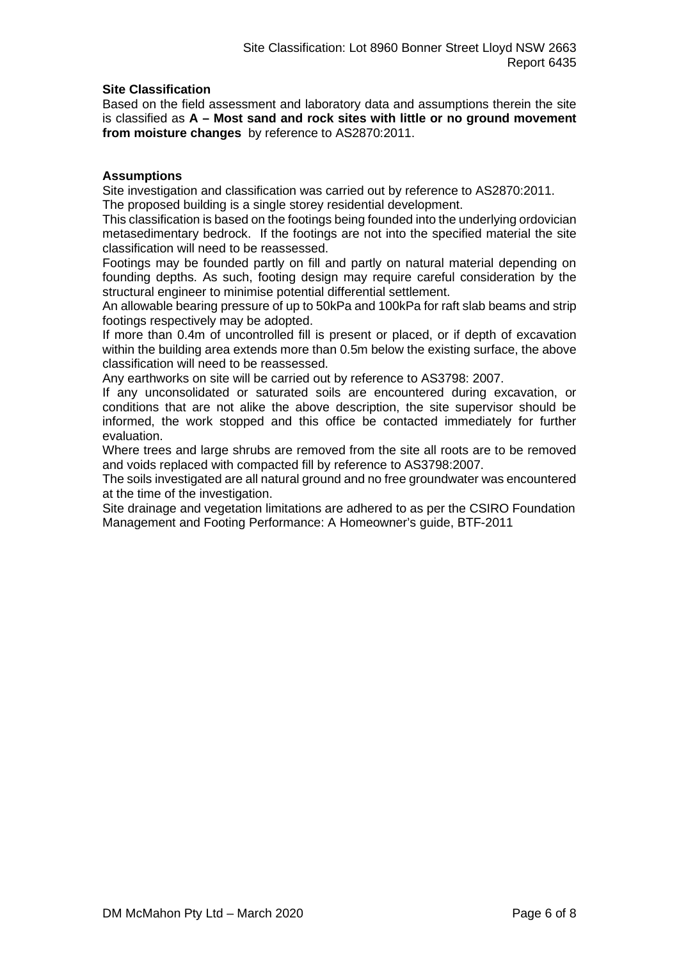#### **Site Classification**

Based on the field assessment and laboratory data and assumptions therein the site is classified as **A – Most sand and rock sites with little or no ground movement from moisture changes** by reference to AS2870:2011.

#### **Assumptions**

Site investigation and classification was carried out by reference to AS2870:2011. The proposed building is a single storey residential development.

This classification is based on the footings being founded into the underlying ordovician metasedimentary bedrock. If the footings are not into the specified material the site classification will need to be reassessed.

Footings may be founded partly on fill and partly on natural material depending on founding depths. As such, footing design may require careful consideration by the structural engineer to minimise potential differential settlement.

An allowable bearing pressure of up to 50kPa and 100kPa for raft slab beams and strip footings respectively may be adopted.

If more than 0.4m of uncontrolled fill is present or placed, or if depth of excavation within the building area extends more than 0.5m below the existing surface, the above classification will need to be reassessed.

Any earthworks on site will be carried out by reference to AS3798: 2007.

If any unconsolidated or saturated soils are encountered during excavation, or conditions that are not alike the above description, the site supervisor should be informed, the work stopped and this office be contacted immediately for further evaluation.

Where trees and large shrubs are removed from the site all roots are to be removed and voids replaced with compacted fill by reference to AS3798:2007.

The soils investigated are all natural ground and no free groundwater was encountered at the time of the investigation.

Site drainage and vegetation limitations are adhered to as per the CSIRO Foundation Management and Footing Performance: A Homeowner's guide, BTF-2011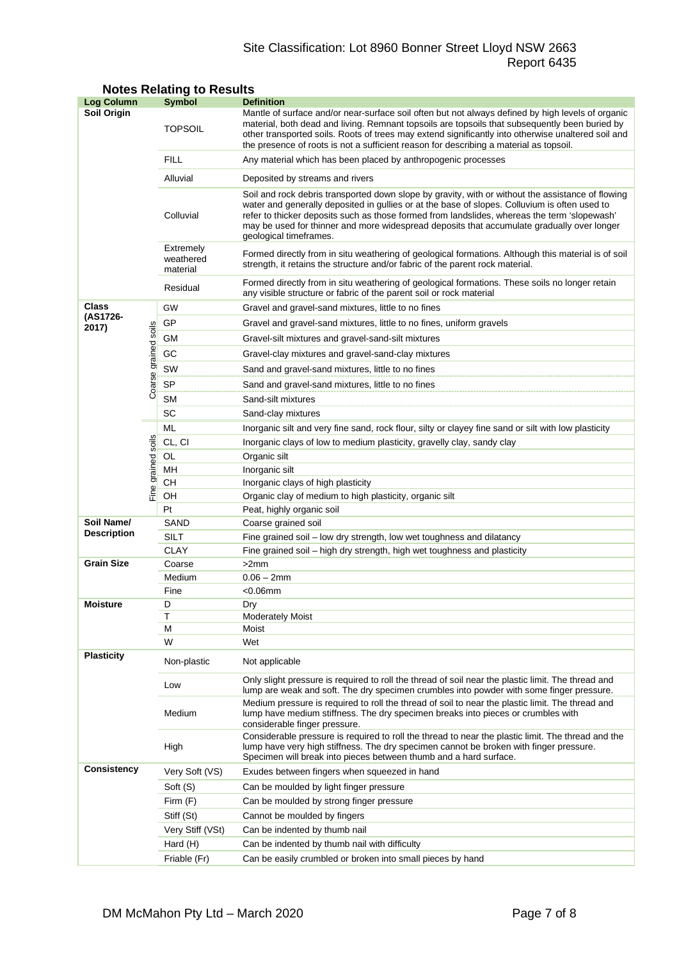## Site Classification: Lot 8960 Bonner Street Lloyd NSW 2663 Report 6435

| <b>Log Column</b>  |                      | <b>Symbol</b>                                            | <b>Definition</b>                                                                                                                                                                                                                                                                                                                                                                                                          |  |  |
|--------------------|----------------------|----------------------------------------------------------|----------------------------------------------------------------------------------------------------------------------------------------------------------------------------------------------------------------------------------------------------------------------------------------------------------------------------------------------------------------------------------------------------------------------------|--|--|
| Soil Origin        |                      | <b>TOPSOIL</b>                                           | Mantle of surface and/or near-surface soil often but not always defined by high levels of organic<br>material, both dead and living. Remnant topsoils are topsoils that subsequently been buried by<br>other transported soils. Roots of trees may extend significantly into otherwise unaltered soil and<br>the presence of roots is not a sufficient reason for describing a material as topsoil.                        |  |  |
|                    |                      | <b>FILL</b>                                              | Any material which has been placed by anthropogenic processes                                                                                                                                                                                                                                                                                                                                                              |  |  |
|                    |                      | Alluvial                                                 | Deposited by streams and rivers                                                                                                                                                                                                                                                                                                                                                                                            |  |  |
|                    |                      | Colluvial                                                | Soil and rock debris transported down slope by gravity, with or without the assistance of flowing<br>water and generally deposited in gullies or at the base of slopes. Colluvium is often used to<br>refer to thicker deposits such as those formed from landslides, whereas the term 'slopewash'<br>may be used for thinner and more widespread deposits that accumulate gradually over longer<br>geological timeframes. |  |  |
|                    |                      | Extremely<br>weathered<br>material                       | Formed directly from in situ weathering of geological formations. Although this material is of soil<br>strength, it retains the structure and/or fabric of the parent rock material.                                                                                                                                                                                                                                       |  |  |
|                    |                      | Residual                                                 | Formed directly from in situ weathering of geological formations. These soils no longer retain<br>any visible structure or fabric of the parent soil or rock material                                                                                                                                                                                                                                                      |  |  |
| Class              |                      | GW                                                       | Gravel and gravel-sand mixtures, little to no fines                                                                                                                                                                                                                                                                                                                                                                        |  |  |
| (AS1726-<br>2017)  |                      | GP                                                       | Gravel and gravel-sand mixtures, little to no fines, uniform gravels                                                                                                                                                                                                                                                                                                                                                       |  |  |
|                    |                      | GМ                                                       | Gravel-silt mixtures and gravel-sand-silt mixtures                                                                                                                                                                                                                                                                                                                                                                         |  |  |
|                    |                      | GC<br>Gravel-clay mixtures and gravel-sand-clay mixtures |                                                                                                                                                                                                                                                                                                                                                                                                                            |  |  |
|                    |                      | SW                                                       | Sand and gravel-sand mixtures, little to no fines                                                                                                                                                                                                                                                                                                                                                                          |  |  |
|                    |                      |                                                          |                                                                                                                                                                                                                                                                                                                                                                                                                            |  |  |
|                    | Coarse grained soils | <b>SP</b>                                                | Sand and gravel-sand mixtures, little to no fines                                                                                                                                                                                                                                                                                                                                                                          |  |  |
|                    |                      | <b>SM</b>                                                | Sand-silt mixtures                                                                                                                                                                                                                                                                                                                                                                                                         |  |  |
|                    |                      | SC                                                       | Sand-clay mixtures                                                                                                                                                                                                                                                                                                                                                                                                         |  |  |
|                    |                      | ML                                                       | Inorganic silt and very fine sand, rock flour, silty or clayey fine sand or silt with low plasticity                                                                                                                                                                                                                                                                                                                       |  |  |
|                    | soils                | CL, CI                                                   | Inorganic clays of low to medium plasticity, gravelly clay, sandy clay                                                                                                                                                                                                                                                                                                                                                     |  |  |
|                    |                      | OL                                                       | Organic silt                                                                                                                                                                                                                                                                                                                                                                                                               |  |  |
|                    | Fine grained         | MН<br>CН                                                 | Inorganic silt<br>Inorganic clays of high plasticity                                                                                                                                                                                                                                                                                                                                                                       |  |  |
|                    |                      | OН                                                       | Organic clay of medium to high plasticity, organic silt                                                                                                                                                                                                                                                                                                                                                                    |  |  |
|                    |                      | Pt                                                       | Peat, highly organic soil                                                                                                                                                                                                                                                                                                                                                                                                  |  |  |
| Soil Name/         |                      | SAND                                                     | Coarse grained soil                                                                                                                                                                                                                                                                                                                                                                                                        |  |  |
| <b>Description</b> |                      | SILT                                                     | Fine grained soil - low dry strength, low wet toughness and dilatancy                                                                                                                                                                                                                                                                                                                                                      |  |  |
|                    |                      | <b>CLAY</b>                                              | Fine grained soil - high dry strength, high wet toughness and plasticity                                                                                                                                                                                                                                                                                                                                                   |  |  |
| <b>Grain Size</b>  |                      | Coarse                                                   | >2mm                                                                                                                                                                                                                                                                                                                                                                                                                       |  |  |
|                    |                      | Medium                                                   | $0.06 - 2mm$                                                                                                                                                                                                                                                                                                                                                                                                               |  |  |
|                    |                      | Fine                                                     | $<$ 0.06 $<$ mm                                                                                                                                                                                                                                                                                                                                                                                                            |  |  |
| <b>Moisture</b>    |                      | D                                                        | Dry                                                                                                                                                                                                                                                                                                                                                                                                                        |  |  |
|                    |                      | Т                                                        | <b>Moderately Moist</b>                                                                                                                                                                                                                                                                                                                                                                                                    |  |  |
|                    |                      | М<br>W                                                   | Moist                                                                                                                                                                                                                                                                                                                                                                                                                      |  |  |
| <b>Plasticity</b>  |                      |                                                          | Wet                                                                                                                                                                                                                                                                                                                                                                                                                        |  |  |
|                    |                      | Non-plastic                                              | Not applicable                                                                                                                                                                                                                                                                                                                                                                                                             |  |  |
|                    |                      | Low                                                      | Only slight pressure is required to roll the thread of soil near the plastic limit. The thread and<br>lump are weak and soft. The dry specimen crumbles into powder with some finger pressure.                                                                                                                                                                                                                             |  |  |
|                    |                      | Medium                                                   | Medium pressure is required to roll the thread of soil to near the plastic limit. The thread and<br>lump have medium stiffness. The dry specimen breaks into pieces or crumbles with<br>considerable finger pressure.                                                                                                                                                                                                      |  |  |
|                    |                      | High                                                     | Considerable pressure is required to roll the thread to near the plastic limit. The thread and the<br>lump have very high stiffness. The dry specimen cannot be broken with finger pressure.<br>Specimen will break into pieces between thumb and a hard surface.                                                                                                                                                          |  |  |
| <b>Consistency</b> |                      | Very Soft (VS)                                           | Exudes between fingers when squeezed in hand                                                                                                                                                                                                                                                                                                                                                                               |  |  |
|                    |                      | Soft (S)                                                 | Can be moulded by light finger pressure                                                                                                                                                                                                                                                                                                                                                                                    |  |  |
|                    |                      | Firm (F)                                                 | Can be moulded by strong finger pressure                                                                                                                                                                                                                                                                                                                                                                                   |  |  |
|                    |                      | Stiff (St)                                               | Cannot be moulded by fingers                                                                                                                                                                                                                                                                                                                                                                                               |  |  |
|                    |                      | Very Stiff (VSt)                                         | Can be indented by thumb nail                                                                                                                                                                                                                                                                                                                                                                                              |  |  |
|                    |                      | Hard (H)                                                 | Can be indented by thumb nail with difficulty                                                                                                                                                                                                                                                                                                                                                                              |  |  |
|                    |                      | Friable (Fr)                                             | Can be easily crumbled or broken into small pieces by hand                                                                                                                                                                                                                                                                                                                                                                 |  |  |

## **Notes Relating to Results**